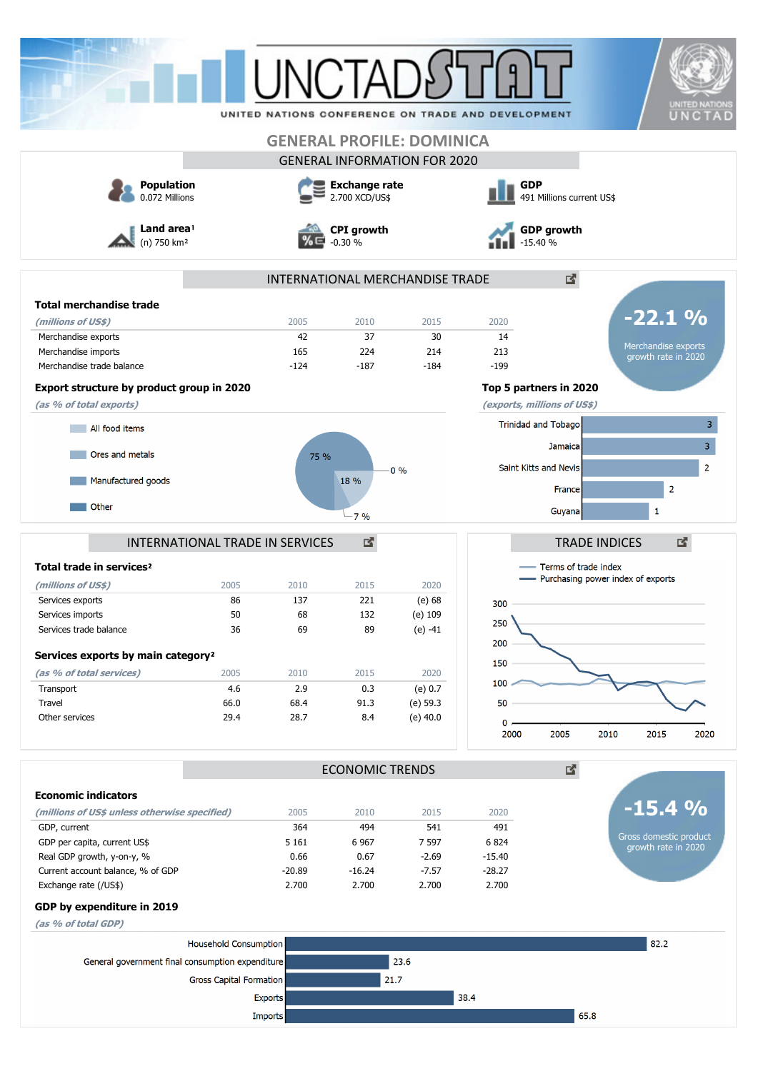| 2005<br>$-124$<br>Export structure by product group in 2020 | <b>GENERAL PROFILE: DOMINICA</b><br><b>GENERAL INFORMATION FOR 2020</b><br><b>Exchange rate</b><br>2.700 XCD/US\$<br><b>CPI</b> growth<br>$-0.30%$<br>INTERNATIONAL MERCHANDISE TRADE<br>2010<br>42<br>37<br>165<br>224               | 2015<br>30                                                                                                                                               | <b>GDP</b><br>491 Millions current US\$<br><b>GDP growth</b><br>$-15.40%$<br>2020                                                                                                                       | 2                                                                                                                            |
|-------------------------------------------------------------|---------------------------------------------------------------------------------------------------------------------------------------------------------------------------------------------------------------------------------------|----------------------------------------------------------------------------------------------------------------------------------------------------------|---------------------------------------------------------------------------------------------------------------------------------------------------------------------------------------------------------|------------------------------------------------------------------------------------------------------------------------------|
|                                                             |                                                                                                                                                                                                                                       |                                                                                                                                                          |                                                                                                                                                                                                         |                                                                                                                              |
|                                                             |                                                                                                                                                                                                                                       |                                                                                                                                                          |                                                                                                                                                                                                         |                                                                                                                              |
|                                                             |                                                                                                                                                                                                                                       |                                                                                                                                                          |                                                                                                                                                                                                         |                                                                                                                              |
|                                                             |                                                                                                                                                                                                                                       |                                                                                                                                                          |                                                                                                                                                                                                         |                                                                                                                              |
|                                                             |                                                                                                                                                                                                                                       |                                                                                                                                                          |                                                                                                                                                                                                         |                                                                                                                              |
|                                                             |                                                                                                                                                                                                                                       |                                                                                                                                                          |                                                                                                                                                                                                         | $-22.1%$                                                                                                                     |
|                                                             |                                                                                                                                                                                                                                       |                                                                                                                                                          | 14                                                                                                                                                                                                      |                                                                                                                              |
|                                                             |                                                                                                                                                                                                                                       | 214                                                                                                                                                      | 213                                                                                                                                                                                                     | Merchandise exports<br>growth rate in 2020                                                                                   |
|                                                             | $-187$                                                                                                                                                                                                                                | $-184$                                                                                                                                                   | $-199$                                                                                                                                                                                                  |                                                                                                                              |
|                                                             |                                                                                                                                                                                                                                       |                                                                                                                                                          | Top 5 partners in 2020                                                                                                                                                                                  |                                                                                                                              |
|                                                             |                                                                                                                                                                                                                                       |                                                                                                                                                          | (exports, millions of US\$)                                                                                                                                                                             |                                                                                                                              |
|                                                             |                                                                                                                                                                                                                                       |                                                                                                                                                          |                                                                                                                                                                                                         |                                                                                                                              |
|                                                             |                                                                                                                                                                                                                                       |                                                                                                                                                          |                                                                                                                                                                                                         |                                                                                                                              |
|                                                             |                                                                                                                                                                                                                                       |                                                                                                                                                          |                                                                                                                                                                                                         | 3 <sup>7</sup>                                                                                                               |
|                                                             |                                                                                                                                                                                                                                       | $0\%$                                                                                                                                                    |                                                                                                                                                                                                         | $\overline{2}$                                                                                                               |
|                                                             | 18 %                                                                                                                                                                                                                                  |                                                                                                                                                          |                                                                                                                                                                                                         | $\overline{2}$                                                                                                               |
|                                                             |                                                                                                                                                                                                                                       |                                                                                                                                                          |                                                                                                                                                                                                         |                                                                                                                              |
|                                                             | $-7%$                                                                                                                                                                                                                                 |                                                                                                                                                          |                                                                                                                                                                                                         | 1                                                                                                                            |
|                                                             |                                                                                                                                                                                                                                       |                                                                                                                                                          |                                                                                                                                                                                                         | 國<br><b>TRADE INDICES</b>                                                                                                    |
|                                                             |                                                                                                                                                                                                                                       |                                                                                                                                                          |                                                                                                                                                                                                         |                                                                                                                              |
|                                                             |                                                                                                                                                                                                                                       |                                                                                                                                                          |                                                                                                                                                                                                         | Terms of trade index                                                                                                         |
|                                                             |                                                                                                                                                                                                                                       | 2020                                                                                                                                                     |                                                                                                                                                                                                         | Purchasing power index of exports                                                                                            |
| 86                                                          |                                                                                                                                                                                                                                       | $(e)$ 68                                                                                                                                                 | 300                                                                                                                                                                                                     |                                                                                                                              |
|                                                             |                                                                                                                                                                                                                                       |                                                                                                                                                          | 250                                                                                                                                                                                                     |                                                                                                                              |
|                                                             |                                                                                                                                                                                                                                       |                                                                                                                                                          |                                                                                                                                                                                                         |                                                                                                                              |
|                                                             |                                                                                                                                                                                                                                       |                                                                                                                                                          |                                                                                                                                                                                                         |                                                                                                                              |
|                                                             |                                                                                                                                                                                                                                       |                                                                                                                                                          |                                                                                                                                                                                                         |                                                                                                                              |
|                                                             |                                                                                                                                                                                                                                       |                                                                                                                                                          | 100                                                                                                                                                                                                     |                                                                                                                              |
|                                                             |                                                                                                                                                                                                                                       | $(e)$ 59.3                                                                                                                                               | 50                                                                                                                                                                                                      |                                                                                                                              |
|                                                             |                                                                                                                                                                                                                                       | $(e)$ 40.0                                                                                                                                               |                                                                                                                                                                                                         |                                                                                                                              |
|                                                             |                                                                                                                                                                                                                                       |                                                                                                                                                          | 2000                                                                                                                                                                                                    | 2010<br>2015<br>2020                                                                                                         |
|                                                             |                                                                                                                                                                                                                                       |                                                                                                                                                          |                                                                                                                                                                                                         | 國.                                                                                                                           |
|                                                             |                                                                                                                                                                                                                                       |                                                                                                                                                          |                                                                                                                                                                                                         |                                                                                                                              |
|                                                             |                                                                                                                                                                                                                                       | 2015                                                                                                                                                     | 2020                                                                                                                                                                                                    | $-15.4%$                                                                                                                     |
|                                                             |                                                                                                                                                                                                                                       | 541                                                                                                                                                      | 491                                                                                                                                                                                                     |                                                                                                                              |
|                                                             |                                                                                                                                                                                                                                       | 7 5 9 7                                                                                                                                                  | 6824                                                                                                                                                                                                    | Gross domestic product<br>growth rate in 2020                                                                                |
|                                                             |                                                                                                                                                                                                                                       | $-2.69$                                                                                                                                                  | $-15.40$                                                                                                                                                                                                |                                                                                                                              |
|                                                             |                                                                                                                                                                                                                                       | $-7.57$                                                                                                                                                  | $-28.27$                                                                                                                                                                                                |                                                                                                                              |
|                                                             |                                                                                                                                                                                                                                       |                                                                                                                                                          |                                                                                                                                                                                                         |                                                                                                                              |
|                                                             |                                                                                                                                                                                                                                       |                                                                                                                                                          |                                                                                                                                                                                                         |                                                                                                                              |
|                                                             |                                                                                                                                                                                                                                       |                                                                                                                                                          |                                                                                                                                                                                                         |                                                                                                                              |
|                                                             |                                                                                                                                                                                                                                       |                                                                                                                                                          |                                                                                                                                                                                                         | 82.2                                                                                                                         |
|                                                             |                                                                                                                                                                                                                                       |                                                                                                                                                          |                                                                                                                                                                                                         |                                                                                                                              |
|                                                             |                                                                                                                                                                                                                                       | 21.7                                                                                                                                                     |                                                                                                                                                                                                         |                                                                                                                              |
|                                                             | 2005<br>50<br>36<br>2005<br>4.6<br>66.0<br>29.4<br>(millions of US\$ unless otherwise specified)<br>Household Consumption<br>General government final consumption expenditure<br>Gross Capital Formation<br>Exports<br><b>Imports</b> | 75 %<br>INTERNATIONAL TRADE IN SERVICES<br>2010<br>137<br>68<br>69<br>2010<br>2.9<br>68.4<br>28.7<br>2005<br>364<br>5 1 6 1<br>0.66<br>$-20.89$<br>2.700 | 國<br>2015<br>221<br>132<br>(e) 109<br>89<br>$(e) -41$<br>2020<br>2015<br>0.3<br>(e) 0.7<br>91.3<br>8.4<br><b>ECONOMIC TRENDS</b><br>2010<br>494<br>6 9 67<br>0.67<br>$-16.24$<br>2.700<br>2.700<br>23.6 | Trinidad and Tobago<br>Jamaical<br>Saint Kitts and Nevis<br>France<br>Guyana<br>200<br>150<br>$0$ ,<br>2005<br>2.700<br>38.4 |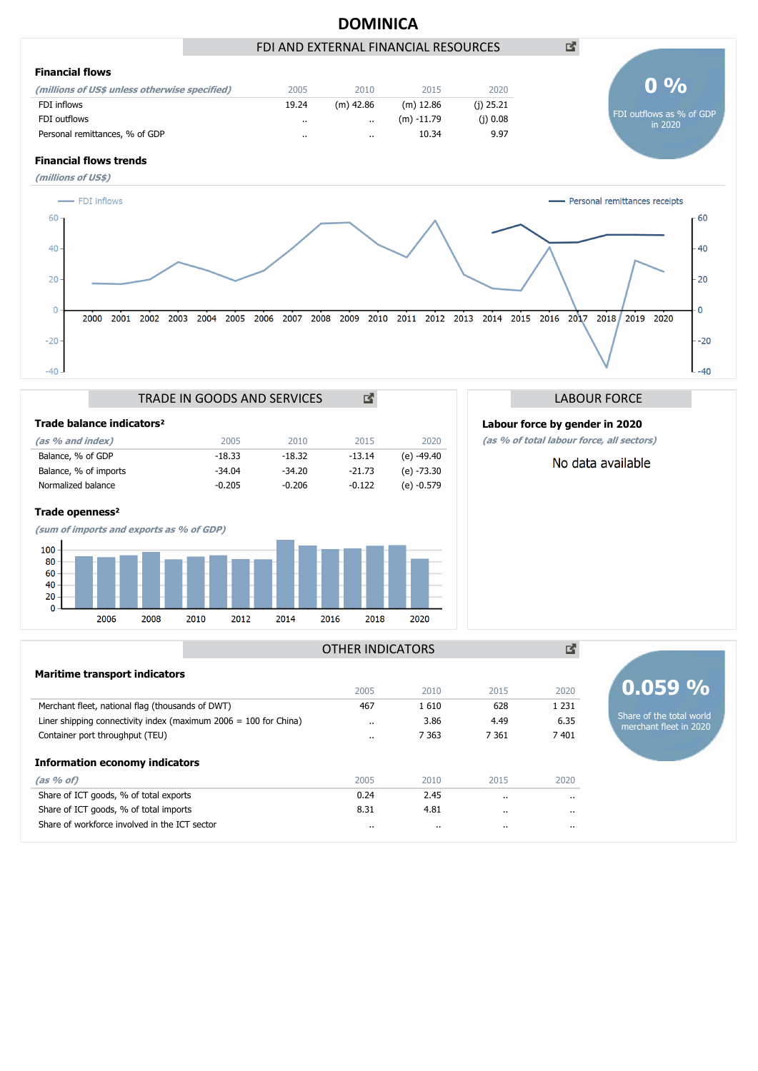

**(as % of total labour force, all sectors)**

No data available

| Trade balance indicators <sup>2</sup> |          |          |          |              |
|---------------------------------------|----------|----------|----------|--------------|
| (as % and index)                      | 2005     | 2010     | 2015     | 2020         |
| Balance, % of GDP                     | $-18.33$ | $-18.32$ | $-13.14$ | (e) -49.40   |
| Balance, % of imports                 | $-34.04$ | $-34.20$ | $-21.73$ | (e) -73.30   |
| Normalized balance                    | $-0.205$ | $-0.206$ | $-0.122$ | $(e) -0.579$ |

### **Trade openness**²



## 図 OTHER INDICATORS**Maritime transport indicators 0.059 %** 2005 2010 2015 2020 Merchant fleet, national flag (thousands of DWT) 467 1 610 628 1 231 Share of the total world Liner shipping connectivity index (maximum 2006 = 100 for China) ... 3.86 4.49 6.35 merchant fleet in 2020 Container port throughput (TEU) .. 7 363 7 361 7 401 **Information economy indicators (as % of)** 2005 2010 2015 2020 Share of ICT goods, % of total exports 0.24 2.45 .. .. Share of ICT goods, % of total imports 8.31 4.81 .. .. Share of workforce involved in the ICT sector .. .. .. ..